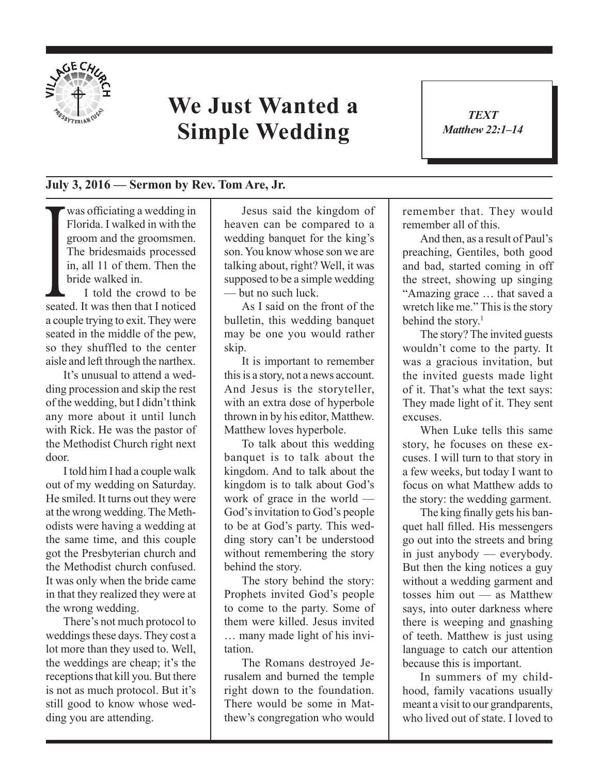

## **We Just Wanted a Simple Wedding**

## **July 3, 2016 — Sermon by Rev. Tom Are, Jr.**

The bridesmaids processed<br>in, all 11 of them. Then the<br>bride walked in.<br>I told the crowd to be<br>seated. It was then that I noticed was officiating a wedding in Florida. I walked in with the groom and the groomsmen. The bridesmaids processed in, all 11 of them. Then the bride walked in.

I told the crowd to be a couple trying to exit. They were seated in the middle of the pew, so they shuffled to the center aisle and left through the narthex.

It's unusual to attend a wedding procession and skip the rest of the wedding, but I didn't think any more about it until lunch with Rick. He was the pastor of the Methodist Church right next door.

I told him I had a couple walk out of my wedding on Saturday. He smiled. It turns out they were at the wrong wedding. The Methodists were having a wedding at the same time, and this couple got the Presbyterian church and the Methodist church confused. It was only when the bride came in that they realized they were at the wrong wedding.

There's not much protocol to weddings these days. They cost a lot more than they used to. Well, the weddings are cheap; it's the receptions that kill you. But there is not as much protocol. But it's still good to know whose wedding you are attending.

Jesus said the kingdom of heaven can be compared to a wedding banquet for the king's son. You know whose son we are talking about, right? Well, it was supposed to be a simple wedding — but no such luck.

As I said on the front of the bulletin, this wedding banquet may be one you would rather skip.

It is important to remember this is a story, not a news account. And Jesus is the storyteller, with an extra dose of hyperbole thrown in by his editor, Matthew. Matthew loves hyperbole.

To talk about this wedding banquet is to talk about the kingdom. And to talk about the kingdom is to talk about God's work of grace in the world — God's invitation to God's people to be at God's party. This wedding story can't be understood without remembering the story behind the story.

The story behind the story: Prophets invited God's people to come to the party. Some of them were killed. Jesus invited … many made light of his invitation.

The Romans destroyed Jerusalem and burned the temple right down to the foundation. There would be some in Matthew's congregation who would remember that. They would remember all of this.

And then, as a result of Paul's preaching, Gentiles, both good and bad, started coming in off the street, showing up singing "Amazing grace … that saved a wretch like me." This is the story behind the story. $<sup>1</sup>$ </sup>

The story? The invited guests wouldn't come to the party. It was a gracious invitation, but the invited guests made light of it. That's what the text says: They made light of it. They sent excuses.

When Luke tells this same story, he focuses on these excuses. I will turn to that story in a few weeks, but today I want to focus on what Matthew adds to the story: the wedding garment.

The king finally gets his banquet hall filled. His messengers go out into the streets and bring in just anybody — everybody. But then the king notices a guy without a wedding garment and tosses him out — as Matthew says, into outer darkness where there is weeping and gnashing of teeth. Matthew is just using language to catch our attention because this is important.

In summers of my childhood, family vacations usually meant a visit to our grandparents, who lived out of state. I loved to

*TEXT Matthew 22:1–14* 1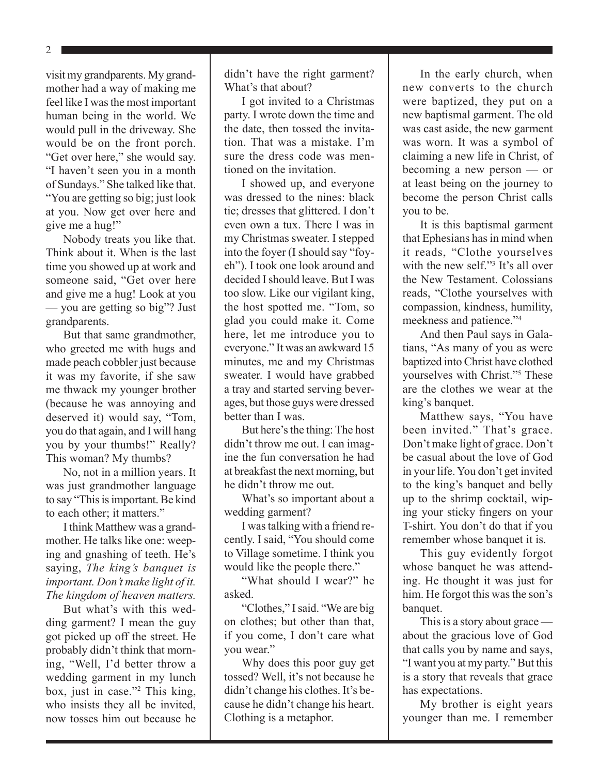2

visit my grandparents. My grandmother had a way of making me feel like I was the most important human being in the world. We would pull in the driveway. She would be on the front porch. "Get over here," she would say. "I haven't seen you in a month of Sundays." She talked like that. "You are getting so big; just look at you. Now get over here and give me a hug!"

Nobody treats you like that. Think about it. When is the last time you showed up at work and someone said, "Get over here and give me a hug! Look at you — you are getting so big"? Just grandparents.

But that same grandmother, who greeted me with hugs and made peach cobbler just because it was my favorite, if she saw me thwack my younger brother (because he was annoying and deserved it) would say, "Tom, you do that again, and I will hang you by your thumbs!" Really? This woman? My thumbs?

No, not in a million years. It was just grandmother language to say "This is important. Be kind to each other; it matters."

I think Matthew was a grandmother. He talks like one: weeping and gnashing of teeth. He's saying, *The king's banquet is important. Don't make light of it. The kingdom of heaven matters.*

But what's with this wedding garment? I mean the guy got picked up off the street. He probably didn't think that morning, "Well, I'd better throw a wedding garment in my lunch box, just in case."<sup>2</sup> This king, who insists they all be invited, now tosses him out because he

didn't have the right garment? What's that about?

I got invited to a Christmas party. I wrote down the time and the date, then tossed the invitation. That was a mistake. I'm sure the dress code was mentioned on the invitation.

I showed up, and everyone was dressed to the nines: black tie; dresses that glittered. I don't even own a tux. There I was in my Christmas sweater. I stepped into the foyer (I should say "foyeh"). I took one look around and decided I should leave. But I was too slow. Like our vigilant king, the host spotted me. "Tom, so glad you could make it. Come here, let me introduce you to everyone." It was an awkward 15 minutes, me and my Christmas sweater. I would have grabbed a tray and started serving beverages, but those guys were dressed better than I was.

But here's the thing: The host didn't throw me out. I can imagine the fun conversation he had at breakfast the next morning, but he didn't throw me out.

What's so important about a wedding garment?

I was talking with a friend recently. I said, "You should come to Village sometime. I think you would like the people there."

"What should I wear?" he asked.

"Clothes," I said. "We are big on clothes; but other than that, if you come, I don't care what you wear."

Why does this poor guy get tossed? Well, it's not because he didn't change his clothes. It's because he didn't change his heart. Clothing is a metaphor.

In the early church, when new converts to the church were baptized, they put on a new baptismal garment. The old was cast aside, the new garment was worn. It was a symbol of claiming a new life in Christ, of becoming a new person — or at least being on the journey to become the person Christ calls you to be.

It is this baptismal garment that Ephesians has in mind when it reads, "Clothe yourselves with the new self."<sup>3</sup> It's all over the New Testament. Colossians reads, "Clothe yourselves with compassion, kindness, humility, meekness and patience."<sup>4</sup>

And then Paul says in Galatians, "As many of you as were baptized into Christ have clothed yourselves with Christ."5 These are the clothes we wear at the king's banquet.

Matthew says, "You have been invited." That's grace. Don't make light of grace. Don't be casual about the love of God in your life. You don't get invited to the king's banquet and belly up to the shrimp cocktail, wiping your sticky fingers on your T-shirt. You don't do that if you remember whose banquet it is.

This guy evidently forgot whose banquet he was attending. He thought it was just for him. He forgot this was the son's banquet.

This is a story about grace about the gracious love of God that calls you by name and says, "I want you at my party." But this is a story that reveals that grace has expectations.

My brother is eight years younger than me. I remember